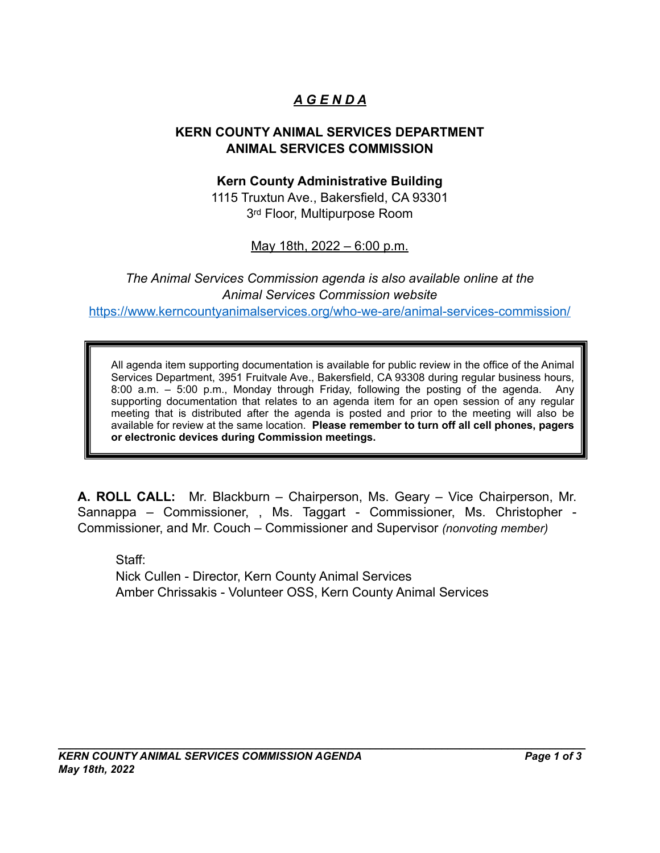# *A G E N D A*

#### **KERN COUNTY ANIMAL SERVICES DEPARTMENT ANIMAL SERVICES COMMISSION**

#### **Kern County Administrative Building**

1115 Truxtun Ave., Bakersfield, CA 93301 3rd Floor, Multipurpose Room

May 18th, 2022 – 6:00 p.m.

*The Animal Services Commission agenda is also available online at the Animal Services Commission website* https://www.kerncountyanimalservices.org/who-we-are/animal-services-commission/

All agenda item supporting documentation is available for public review in the office of the Animal Services Department, 3951 Fruitvale Ave., Bakersfield, CA 93308 during regular business hours, 8:00 a.m. – 5:00 p.m., Monday through Friday, following the posting of the agenda. Any supporting documentation that relates to an agenda item for an open session of any regular meeting that is distributed after the agenda is posted and prior to the meeting will also be available for review at the same location. **Please remember to turn off all cell phones, pagers or electronic devices during Commission meetings.**

**A. ROLL CALL:** Mr. Blackburn – Chairperson, Ms. Geary – Vice Chairperson, Mr. Sannappa – Commissioner, , Ms. Taggart - Commissioner, Ms. Christopher - Commissioner, and Mr. Couch – Commissioner and Supervisor *(nonvoting member)*

Staff: Nick Cullen - Director, Kern County Animal Services Amber Chrissakis - Volunteer OSS, Kern County Animal Services

 $\mathcal{L}_\mathcal{L} = \mathcal{L}_\mathcal{L} = \mathcal{L}_\mathcal{L} = \mathcal{L}_\mathcal{L} = \mathcal{L}_\mathcal{L} = \mathcal{L}_\mathcal{L} = \mathcal{L}_\mathcal{L} = \mathcal{L}_\mathcal{L} = \mathcal{L}_\mathcal{L} = \mathcal{L}_\mathcal{L} = \mathcal{L}_\mathcal{L} = \mathcal{L}_\mathcal{L} = \mathcal{L}_\mathcal{L} = \mathcal{L}_\mathcal{L} = \mathcal{L}_\mathcal{L} = \mathcal{L}_\mathcal{L} = \mathcal{L}_\mathcal{L}$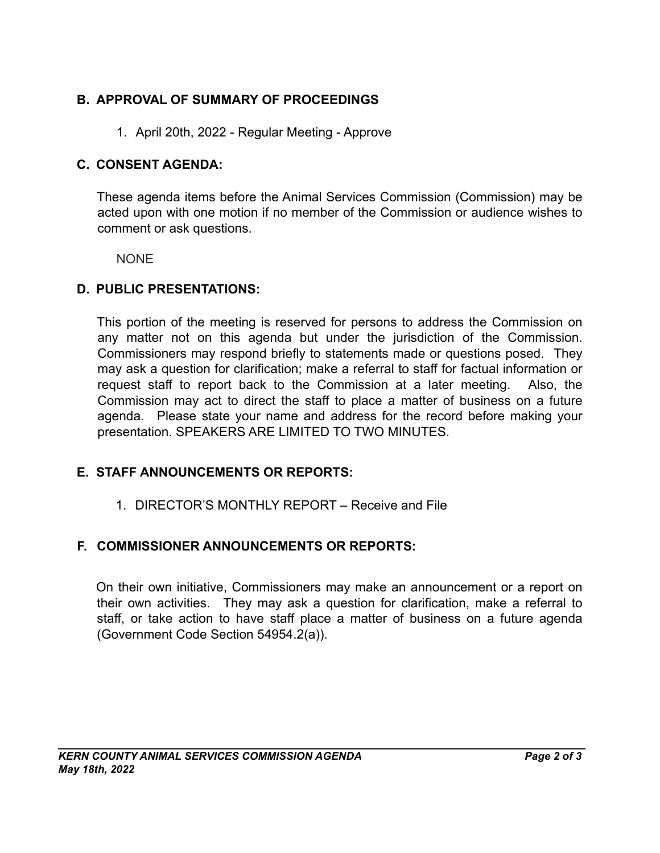## **B. APPROVAL OF SUMMARY OF PROCEEDINGS**

1. April 20th, 2022 - Regular Meeting - Approve

### **C. CONSENT AGENDA:**

These agenda items before the Animal Services Commission (Commission) may be acted upon with one motion if no member of the Commission or audience wishes to comment or ask questions.

NONE

#### **D. PUBLIC PRESENTATIONS:**

This portion of the meeting is reserved for persons to address the Commission on any matter not on this agenda but under the jurisdiction of the Commission. Commissioners may respond briefly to statements made or questions posed. They may ask a question for clarification; make a referral to staff for factual information or request staff to report back to the Commission at a later meeting. Also, the Commission may act to direct the staff to place a matter of business on a future agenda. Please state your name and address for the record before making your presentation. SPEAKERS ARE LIMITED TO TWO MINUTES.

## **E. STAFF ANNOUNCEMENTS OR REPORTS:**

1. DIRECTOR'S MONTHLY REPORT – Receive and File

## **F. COMMISSIONER ANNOUNCEMENTS OR REPORTS:**

On their own initiative, Commissioners may make an announcement or a report on their own activities. They may ask a question for clarification, make a referral to staff, or take action to have staff place a matter of business on a future agenda (Government Code Section 54954.2(a)).